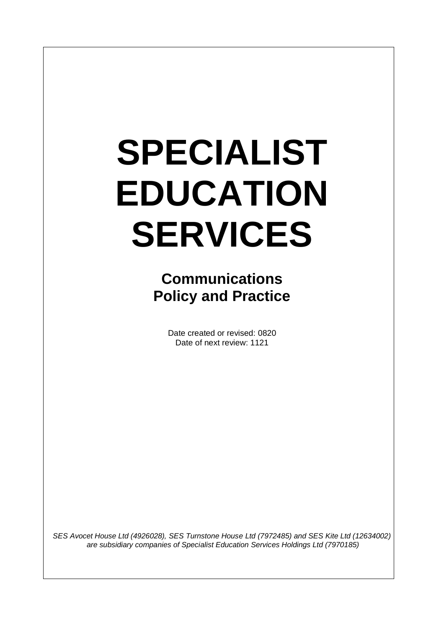# **SPECIALIST EDUCATION SERVICES**

 $\overline{\phantom{a}}$ 

**Communications Policy and Practice** 

> Date created or revised: 0820 Date of next review: 1121

*SES Avocet House Ltd (4926028), SES Turnstone House Ltd (7972485) and SES Kite Ltd (12634002) are subsidiary companies of Specialist Education Services Holdings Ltd (7970185)*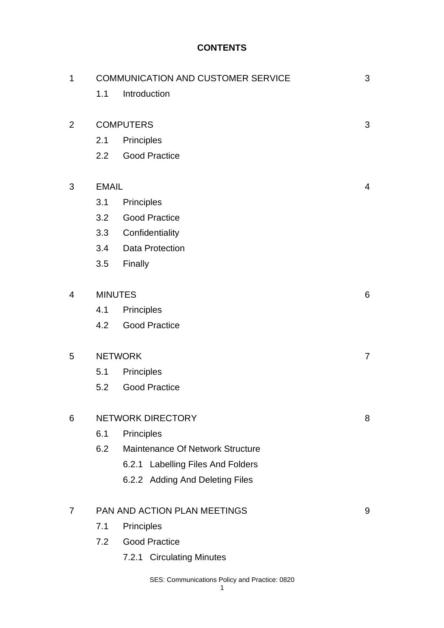## **CONTENTS**

| $\mathbf 1$    | <b>COMMUNICATION AND CUSTOMER SERVICE</b> |                                   |                |
|----------------|-------------------------------------------|-----------------------------------|----------------|
|                | 1.1                                       | Introduction                      |                |
|                |                                           |                                   |                |
| $\overline{2}$ | <b>COMPUTERS</b>                          |                                   |                |
|                | 2.1                                       | Principles                        |                |
|                | 2.2                                       | <b>Good Practice</b>              |                |
| 3              | <b>EMAIL</b>                              |                                   |                |
|                | 3.1                                       | Principles                        |                |
|                | 3.2                                       | <b>Good Practice</b>              |                |
|                | 3.3                                       | Confidentiality                   |                |
|                | 3.4                                       | <b>Data Protection</b>            |                |
|                | 3.5                                       | Finally                           |                |
|                |                                           |                                   |                |
| 4              | <b>MINUTES</b>                            |                                   |                |
|                | 4.1                                       | Principles                        |                |
|                | 4.2                                       | <b>Good Practice</b>              |                |
| 5              | <b>NETWORK</b>                            |                                   |                |
|                | 5.1                                       | Principles                        | $\overline{7}$ |
|                | 5.2                                       | <b>Good Practice</b>              |                |
|                |                                           |                                   |                |
| 6              | <b>NETWORK DIRECTORY</b>                  |                                   |                |
|                | 6.1                                       | Principles                        |                |
|                | 6.2                                       | Maintenance Of Network Structure  |                |
|                |                                           | 6.2.1 Labelling Files And Folders |                |
|                |                                           | 6.2.2 Adding And Deleting Files   |                |
| 7              | PAN AND ACTION PLAN MEETINGS              |                                   |                |
|                | 7.1<br><b>Principles</b>                  |                                   |                |
|                | 7.2                                       | <b>Good Practice</b>              |                |
|                |                                           | 7.2.1 Circulating Minutes         |                |
|                |                                           |                                   |                |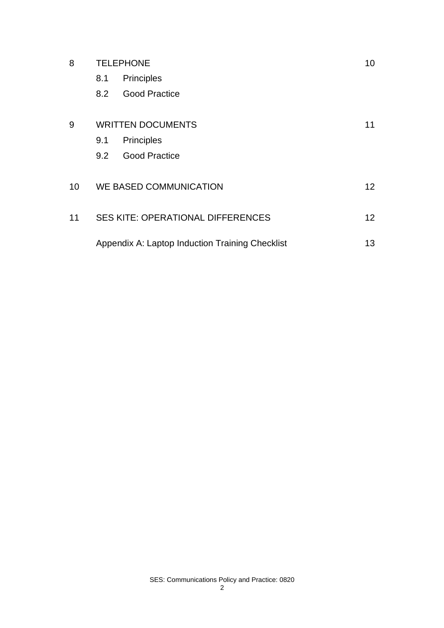| 8  | <b>TELEPHONE</b>                                |                      |  |
|----|-------------------------------------------------|----------------------|--|
|    | 8.1                                             | Principles           |  |
|    | 8.2                                             | <b>Good Practice</b> |  |
| 9  | <b>WRITTEN DOCUMENTS</b>                        |                      |  |
|    | 9.1                                             | Principles           |  |
|    | 9.2                                             | <b>Good Practice</b> |  |
| 10 | WE BASED COMMUNICATION                          |                      |  |
| 11 | <b>SES KITE: OPERATIONAL DIFFERENCES</b>        |                      |  |
|    | Appendix A: Laptop Induction Training Checklist |                      |  |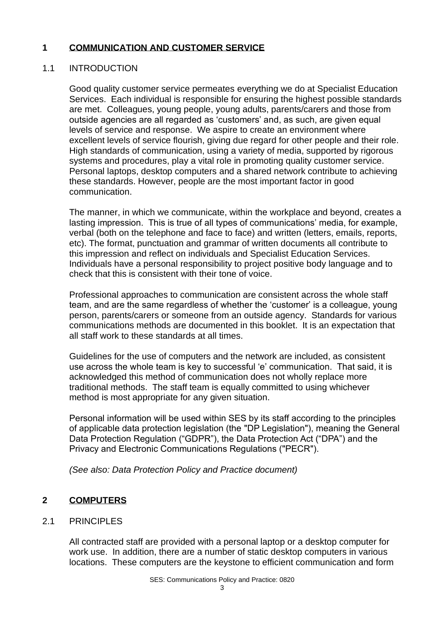#### **1 COMMUNICATION AND CUSTOMER SERVICE**

## 1.1 INTRODUCTION

Good quality customer service permeates everything we do at Specialist Education Services. Each individual is responsible for ensuring the highest possible standards are met. Colleagues, young people, young adults, parents/carers and those from outside agencies are all regarded as 'customers' and, as such, are given equal levels of service and response. We aspire to create an environment where excellent levels of service flourish, giving due regard for other people and their role. High standards of communication, using a variety of media, supported by rigorous systems and procedures, play a vital role in promoting quality customer service. Personal laptops, desktop computers and a shared network contribute to achieving these standards. However, people are the most important factor in good communication.

The manner, in which we communicate, within the workplace and beyond, creates a lasting impression. This is true of all types of communications' media, for example, verbal (both on the telephone and face to face) and written (letters, emails, reports, etc). The format, punctuation and grammar of written documents all contribute to this impression and reflect on individuals and Specialist Education Services. Individuals have a personal responsibility to project positive body language and to check that this is consistent with their tone of voice.

Professional approaches to communication are consistent across the whole staff team, and are the same regardless of whether the 'customer' is a colleague, young person, parents/carers or someone from an outside agency. Standards for various communications methods are documented in this booklet. It is an expectation that all staff work to these standards at all times.

Guidelines for the use of computers and the network are included, as consistent use across the whole team is key to successful 'e' communication. That said, it is acknowledged this method of communication does not wholly replace more traditional methods. The staff team is equally committed to using whichever method is most appropriate for any given situation.

Personal information will be used within SES by its staff according to the principles of applicable data protection legislation (the "DP Legislation"), meaning the General Data Protection Regulation ("GDPR"), the Data Protection Act ("DPA") and the Privacy and Electronic Communications Regulations ("PECR").

*(See also: Data Protection Policy and Practice document)*

# **2 COMPUTERS**

# 2.1 PRINCIPLES

All contracted staff are provided with a personal laptop or a desktop computer for work use. In addition, there are a number of static desktop computers in various locations. These computers are the keystone to efficient communication and form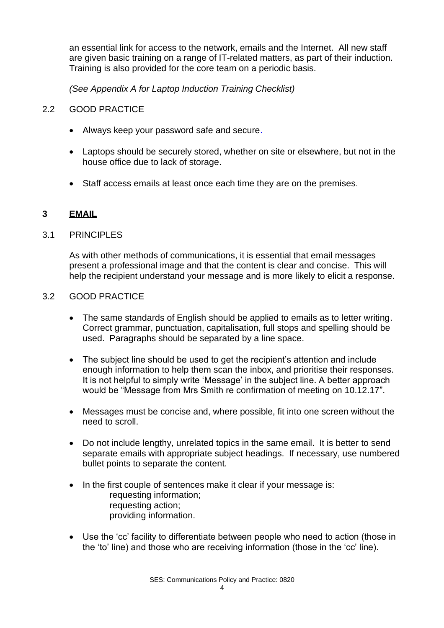an essential link for access to the network, emails and the Internet. All new staff are given basic training on a range of IT-related matters, as part of their induction. Training is also provided for the core team on a periodic basis.

*(See Appendix A for Laptop Induction Training Checklist)*

## 2.2 GOOD PRACTICE

- Always keep your password safe and secure.
- Laptops should be securely stored, whether on site or elsewhere, but not in the house office due to lack of storage.
- Staff access emails at least once each time they are on the premises.

#### **3 EMAIL**

#### 3.1 PRINCIPLES

As with other methods of communications, it is essential that email messages present a professional image and that the content is clear and concise. This will help the recipient understand your message and is more likely to elicit a response.

#### 3.2 GOOD PRACTICE

- The same standards of English should be applied to emails as to letter writing. Correct grammar, punctuation, capitalisation, full stops and spelling should be used. Paragraphs should be separated by a line space.
- The subject line should be used to get the recipient's attention and include enough information to help them scan the inbox, and prioritise their responses. It is not helpful to simply write 'Message' in the subject line. A better approach would be "Message from Mrs Smith re confirmation of meeting on 10.12.17".
- Messages must be concise and, where possible, fit into one screen without the need to scroll.
- Do not include lengthy, unrelated topics in the same email. It is better to send separate emails with appropriate subject headings. If necessary, use numbered bullet points to separate the content.
- In the first couple of sentences make it clear if your message is: requesting information; requesting action; providing information.
- Use the 'cc' facility to differentiate between people who need to action (those in the 'to' line) and those who are receiving information (those in the 'cc' line).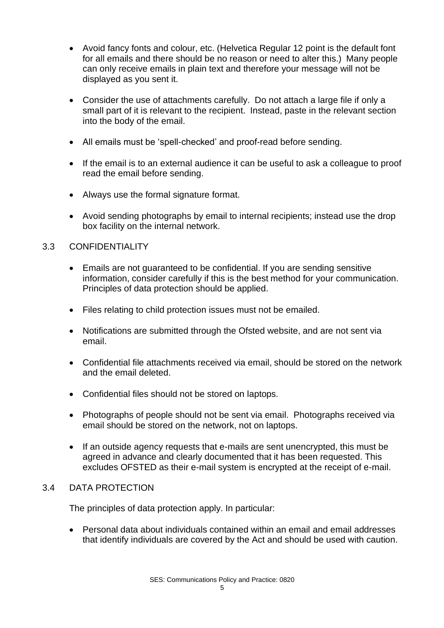- Avoid fancy fonts and colour, etc. (Helvetica Regular 12 point is the default font for all emails and there should be no reason or need to alter this.) Many people can only receive emails in plain text and therefore your message will not be displayed as you sent it.
- Consider the use of attachments carefully. Do not attach a large file if only a small part of it is relevant to the recipient. Instead, paste in the relevant section into the body of the email.
- All emails must be 'spell-checked' and proof-read before sending.
- If the email is to an external audience it can be useful to ask a colleague to proof read the email before sending.
- Always use the formal signature format.
- Avoid sending photographs by email to internal recipients; instead use the drop box facility on the internal network.

## 3.3 CONFIDENTIALITY

- Emails are not guaranteed to be confidential. If you are sending sensitive information, consider carefully if this is the best method for your communication. Principles of data protection should be applied.
- Files relating to child protection issues must not be emailed.
- Notifications are submitted through the Ofsted website, and are not sent via email.
- Confidential file attachments received via email, should be stored on the network and the email deleted.
- Confidential files should not be stored on laptops.
- Photographs of people should not be sent via email. Photographs received via email should be stored on the network, not on laptops.
- If an outside agency requests that e-mails are sent unencrypted, this must be agreed in advance and clearly documented that it has been requested. This excludes OFSTED as their e-mail system is encrypted at the receipt of e-mail.

#### 3.4 DATA PROTECTION

The principles of data protection apply. In particular:

• Personal data about individuals contained within an email and email addresses that identify individuals are covered by the Act and should be used with caution.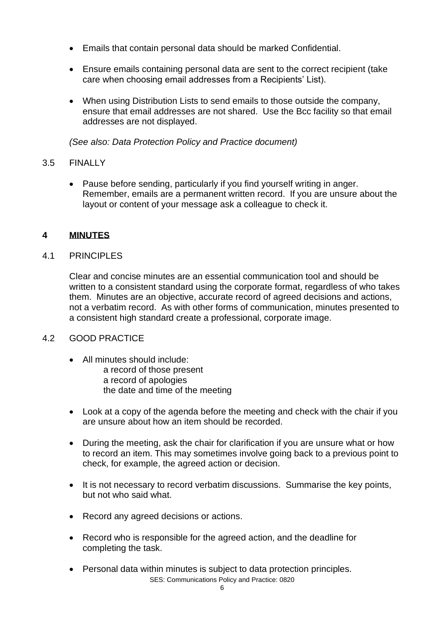- Emails that contain personal data should be marked Confidential.
- Ensure emails containing personal data are sent to the correct recipient (take care when choosing email addresses from a Recipients' List).
- When using Distribution Lists to send emails to those outside the company, ensure that email addresses are not shared. Use the Bcc facility so that email addresses are not displayed.

*(See also: Data Protection Policy and Practice document)*

# 3.5 FINALLY

• Pause before sending, particularly if you find yourself writing in anger. Remember, emails are a permanent written record. If you are unsure about the layout or content of your message ask a colleague to check it.

# **4 MINUTES**

# 4.1 PRINCIPLES

Clear and concise minutes are an essential communication tool and should be written to a consistent standard using the corporate format, regardless of who takes them. Minutes are an objective, accurate record of agreed decisions and actions, not a verbatim record. As with other forms of communication, minutes presented to a consistent high standard create a professional, corporate image.

# 4.2 GOOD PRACTICE

- All minutes should include: a record of those present a record of apologies the date and time of the meeting
- Look at a copy of the agenda before the meeting and check with the chair if you are unsure about how an item should be recorded.
- During the meeting, ask the chair for clarification if you are unsure what or how to record an item. This may sometimes involve going back to a previous point to check, for example, the agreed action or decision.
- It is not necessary to record verbatim discussions. Summarise the key points, but not who said what.
- Record any agreed decisions or actions.
- Record who is responsible for the agreed action, and the deadline for completing the task.
- SES: Communications Policy and Practice: 0820 • Personal data within minutes is subject to data protection principles.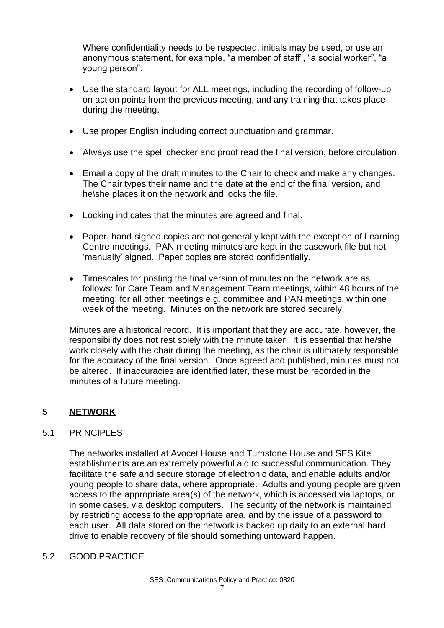Where confidentiality needs to be respected, initials may be used, or use an anonymous statement, for example, "a member of staff", "a social worker", "a young person".

- Use the standard layout for ALL meetings, including the recording of follow-up on action points from the previous meeting, and any training that takes place during the meeting.
- Use proper English including correct punctuation and grammar.
- Always use the spell checker and proof read the final version, before circulation.
- Email a copy of the draft minutes to the Chair to check and make any changes. The Chair types their name and the date at the end of the final version, and he\she places it on the network and locks the file.
- Locking indicates that the minutes are agreed and final.
- Paper, hand-signed copies are not generally kept with the exception of Learning Centre meetings. PAN meeting minutes are kept in the casework file but not 'manually' signed. Paper copies are stored confidentially.
- Timescales for posting the final version of minutes on the network are as follows: for Care Team and Management Team meetings, within 48 hours of the meeting; for all other meetings e.g. committee and PAN meetings, within one week of the meeting. Minutes on the network are stored securely.

Minutes are a historical record. It is important that they are accurate, however, the responsibility does not rest solely with the minute taker. It is essential that he/she work closely with the chair during the meeting, as the chair is ultimately responsible for the accuracy of the final version. Once agreed and published, minutes must not be altered. If inaccuracies are identified later, these must be recorded in the minutes of a future meeting.

# **5 NETWORK**

#### 5.1 PRINCIPLES

The networks installed at Avocet House and Turnstone House and SES Kite establishments are an extremely powerful aid to successful communication. They facilitate the safe and secure storage of electronic data, and enable adults and/or young people to share data, where appropriate. Adults and young people are given access to the appropriate area(s) of the network, which is accessed via laptops, or in some cases, via desktop computers. The security of the network is maintained by restricting access to the appropriate area, and by the issue of a password to each user. All data stored on the network is backed up daily to an external hard drive to enable recovery of file should something untoward happen.

#### 5.2 GOOD PRACTICE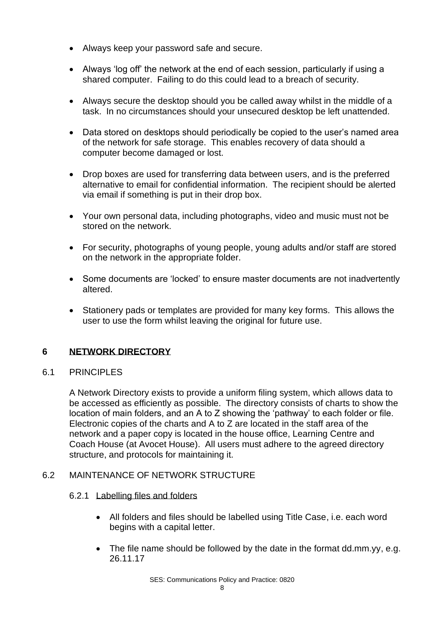- Always keep your password safe and secure.
- Always 'log off' the network at the end of each session, particularly if using a shared computer. Failing to do this could lead to a breach of security.
- Always secure the desktop should you be called away whilst in the middle of a task. In no circumstances should your unsecured desktop be left unattended.
- Data stored on desktops should periodically be copied to the user's named area of the network for safe storage. This enables recovery of data should a computer become damaged or lost.
- Drop boxes are used for transferring data between users, and is the preferred alternative to email for confidential information. The recipient should be alerted via email if something is put in their drop box.
- Your own personal data, including photographs, video and music must not be stored on the network.
- For security, photographs of young people, young adults and/or staff are stored on the network in the appropriate folder.
- Some documents are 'locked' to ensure master documents are not inadvertently altered.
- Stationery pads or templates are provided for many key forms. This allows the user to use the form whilst leaving the original for future use.

# **6 NETWORK DIRECTORY**

# 6.1 PRINCIPLES

A Network Directory exists to provide a uniform filing system, which allows data to be accessed as efficiently as possible. The directory consists of charts to show the location of main folders, and an A to Z showing the 'pathway' to each folder or file. Electronic copies of the charts and A to Z are located in the staff area of the network and a paper copy is located in the house office, Learning Centre and Coach House (at Avocet House). All users must adhere to the agreed directory structure, and protocols for maintaining it.

# 6.2 MAINTENANCE OF NETWORK STRUCTURE

#### 6.2.1 Labelling files and folders

- All folders and files should be labelled using Title Case, i.e. each word begins with a capital letter.
- The file name should be followed by the date in the format dd.mm.yy, e.g. 26.11.17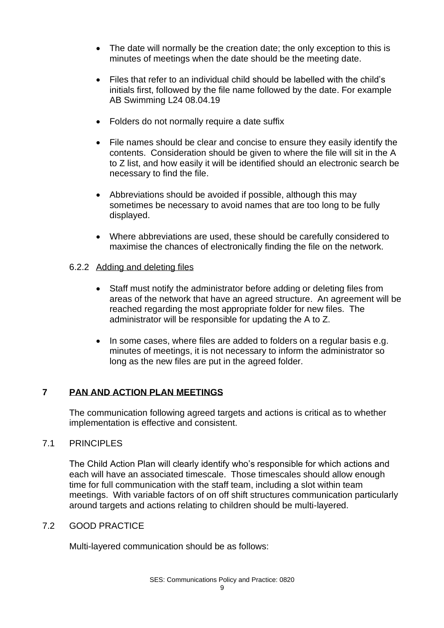- The date will normally be the creation date; the only exception to this is minutes of meetings when the date should be the meeting date.
- Files that refer to an individual child should be labelled with the child's initials first, followed by the file name followed by the date. For example AB Swimming L24 08.04.19
- Folders do not normally require a date suffix
- File names should be clear and concise to ensure they easily identify the contents. Consideration should be given to where the file will sit in the A to Z list, and how easily it will be identified should an electronic search be necessary to find the file.
- Abbreviations should be avoided if possible, although this may sometimes be necessary to avoid names that are too long to be fully displayed.
- Where abbreviations are used, these should be carefully considered to maximise the chances of electronically finding the file on the network.
- 6.2.2 Adding and deleting files
	- Staff must notify the administrator before adding or deleting files from areas of the network that have an agreed structure. An agreement will be reached regarding the most appropriate folder for new files. The administrator will be responsible for updating the A to Z.
	- In some cases, where files are added to folders on a regular basis e.g. minutes of meetings, it is not necessary to inform the administrator so long as the new files are put in the agreed folder.

# **7 PAN AND ACTION PLAN MEETINGS**

The communication following agreed targets and actions is critical as to whether implementation is effective and consistent.

#### 7.1 PRINCIPLES

The Child Action Plan will clearly identify who's responsible for which actions and each will have an associated timescale. Those timescales should allow enough time for full communication with the staff team, including a slot within team meetings. With variable factors of on off shift structures communication particularly around targets and actions relating to children should be multi-layered.

#### 7.2 GOOD PRACTICE

Multi-layered communication should be as follows: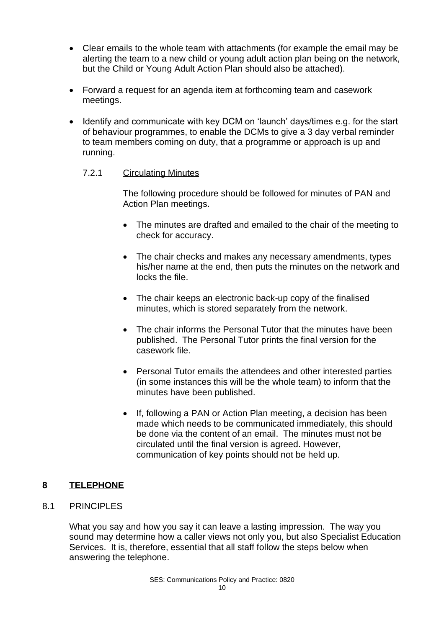- Clear emails to the whole team with attachments (for example the email may be alerting the team to a new child or young adult action plan being on the network, but the Child or Young Adult Action Plan should also be attached).
- Forward a request for an agenda item at forthcoming team and casework meetings.
- Identify and communicate with key DCM on 'launch' days/times e.g. for the start of behaviour programmes, to enable the DCMs to give a 3 day verbal reminder to team members coming on duty, that a programme or approach is up and running.
	- 7.2.1 Circulating Minutes

The following procedure should be followed for minutes of PAN and Action Plan meetings.

- The minutes are drafted and emailed to the chair of the meeting to check for accuracy.
- The chair checks and makes any necessary amendments, types his/her name at the end, then puts the minutes on the network and locks the file.
- The chair keeps an electronic back-up copy of the finalised minutes, which is stored separately from the network.
- The chair informs the Personal Tutor that the minutes have been published. The Personal Tutor prints the final version for the casework file.
- Personal Tutor emails the attendees and other interested parties (in some instances this will be the whole team) to inform that the minutes have been published.
- If, following a PAN or Action Plan meeting, a decision has been made which needs to be communicated immediately, this should be done via the content of an email. The minutes must not be circulated until the final version is agreed. However, communication of key points should not be held up.

# **8 TELEPHONE**

8.1 PRINCIPLES

What you say and how you say it can leave a lasting impression. The way you sound may determine how a caller views not only you, but also Specialist Education Services. It is, therefore, essential that all staff follow the steps below when answering the telephone.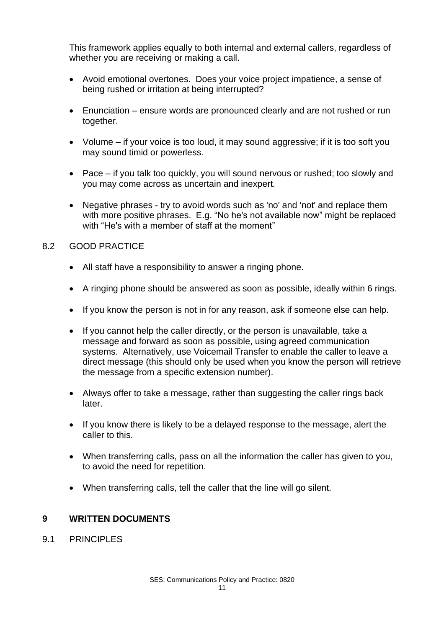This framework applies equally to both internal and external callers, regardless of whether you are receiving or making a call.

- Avoid emotional overtones. Does your voice project impatience, a sense of being rushed or irritation at being interrupted?
- Enunciation ensure words are pronounced clearly and are not rushed or run together.
- Volume if your voice is too loud, it may sound aggressive; if it is too soft you may sound timid or powerless.
- Pace if you talk too quickly, you will sound nervous or rushed; too slowly and you may come across as uncertain and inexpert.
- Negative phrases try to avoid words such as 'no' and 'not' and replace them with more positive phrases. E.g. "No he's not available now" might be replaced with "He's with a member of staff at the moment"

#### 8.2 GOOD PRACTICE

- All staff have a responsibility to answer a ringing phone.
- A ringing phone should be answered as soon as possible, ideally within 6 rings.
- If you know the person is not in for any reason, ask if someone else can help.
- If you cannot help the caller directly, or the person is unavailable, take a message and forward as soon as possible, using agreed communication systems. Alternatively, use Voicemail Transfer to enable the caller to leave a direct message (this should only be used when you know the person will retrieve the message from a specific extension number).
- Always offer to take a message, rather than suggesting the caller rings back later.
- If you know there is likely to be a delayed response to the message, alert the caller to this.
- When transferring calls, pass on all the information the caller has given to you, to avoid the need for repetition.
- When transferring calls, tell the caller that the line will go silent.

#### **9 WRITTEN DOCUMENTS**

9.1 PRINCIPLES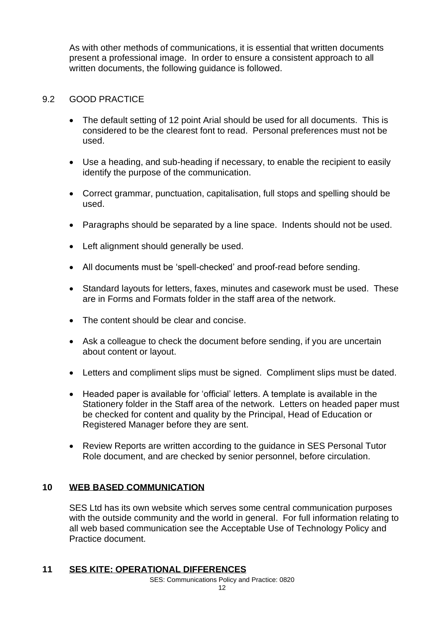As with other methods of communications, it is essential that written documents present a professional image. In order to ensure a consistent approach to all written documents, the following guidance is followed.

## 9.2 GOOD PRACTICE

- The default setting of 12 point Arial should be used for all documents. This is considered to be the clearest font to read. Personal preferences must not be used.
- Use a heading, and sub-heading if necessary, to enable the recipient to easily identify the purpose of the communication.
- Correct grammar, punctuation, capitalisation, full stops and spelling should be used.
- Paragraphs should be separated by a line space. Indents should not be used.
- Left alignment should generally be used.
- All documents must be 'spell-checked' and proof-read before sending.
- Standard layouts for letters, faxes, minutes and casework must be used. These are in Forms and Formats folder in the staff area of the network.
- The content should be clear and concise.
- Ask a colleague to check the document before sending, if you are uncertain about content or layout.
- Letters and compliment slips must be signed. Compliment slips must be dated.
- Headed paper is available for 'official' letters. A template is available in the Stationery folder in the Staff area of the network. Letters on headed paper must be checked for content and quality by the Principal, Head of Education or Registered Manager before they are sent.
- Review Reports are written according to the guidance in SES Personal Tutor Role document, and are checked by senior personnel, before circulation.

# **10 WEB BASED COMMUNICATION**

SES Ltd has its own website which serves some central communication purposes with the outside community and the world in general. For full information relating to all web based communication see the Acceptable Use of Technology Policy and Practice document.

#### **11 SES KITE: OPERATIONAL DIFFERENCES**

SES: Communications Policy and Practice: 0820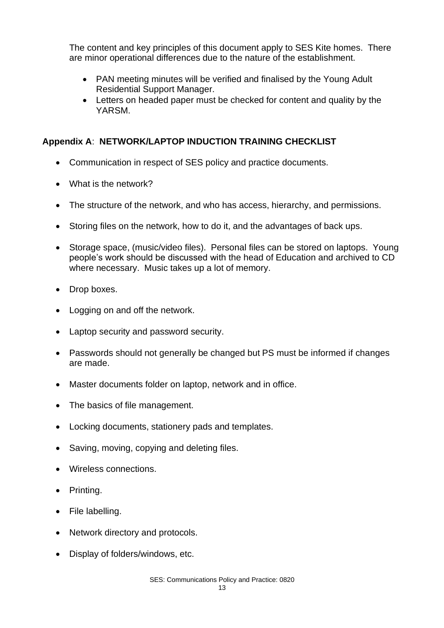The content and key principles of this document apply to SES Kite homes. There are minor operational differences due to the nature of the establishment.

- PAN meeting minutes will be verified and finalised by the Young Adult Residential Support Manager.
- Letters on headed paper must be checked for content and quality by the YARSM.

# **Appendix A**: **NETWORK/LAPTOP INDUCTION TRAINING CHECKLIST**

- Communication in respect of SES policy and practice documents.
- What is the network?
- The structure of the network, and who has access, hierarchy, and permissions.
- Storing files on the network, how to do it, and the advantages of back ups.
- Storage space, (music/video files). Personal files can be stored on laptops. Young people's work should be discussed with the head of Education and archived to CD where necessary. Music takes up a lot of memory.
- Drop boxes.
- Logging on and off the network.
- Laptop security and password security.
- Passwords should not generally be changed but PS must be informed if changes are made.
- Master documents folder on laptop, network and in office.
- The basics of file management.
- Locking documents, stationery pads and templates.
- Saving, moving, copying and deleting files.
- Wireless connections.
- Printing.
- File labelling.
- Network directory and protocols.
- Display of folders/windows, etc.